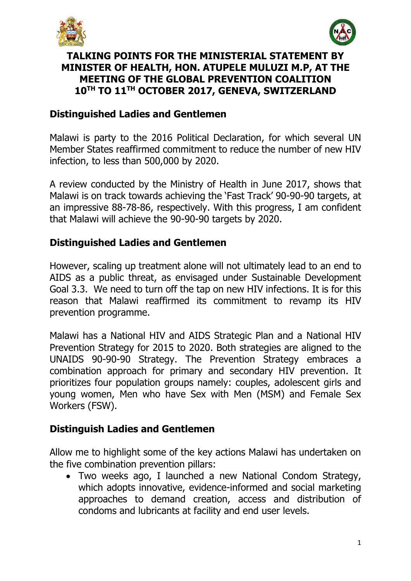



### **TALKING POINTS FOR THE MINISTERIAL STATEMENT BY MINISTER OF HEALTH, HON. ATUPELE MULUZI M.P, AT THE MEETING OF THE GLOBAL PREVENTION COALITION 10TH TO 11TH OCTOBER 2017, GENEVA, SWITZERLAND**

### **Distinguished Ladies and Gentlemen**

Malawi is party to the 2016 Political Declaration, for which several UN Member States reaffirmed commitment to reduce the number of new HIV infection, to less than 500,000 by 2020.

A review conducted by the Ministry of Health in June 2017, shows that Malawi is on track towards achieving the 'Fast Track' 90-90-90 targets, at an impressive 88-78-86, respectively. With this progress, I am confident that Malawi will achieve the 90-90-90 targets by 2020.

# **Distinguished Ladies and Gentlemen**

However, scaling up treatment alone will not ultimately lead to an end to AIDS as a public threat, as envisaged under Sustainable Development Goal 3.3. We need to turn off the tap on new HIV infections. It is for this reason that Malawi reaffirmed its commitment to revamp its HIV prevention programme.

Malawi has a National HIV and AIDS Strategic Plan and a National HIV Prevention Strategy for 2015 to 2020. Both strategies are aligned to the UNAIDS 90-90-90 Strategy. The Prevention Strategy embraces a combination approach for primary and secondary HIV prevention. It prioritizes four population groups namely: couples, adolescent girls and young women, Men who have Sex with Men (MSM) and Female Sex Workers (FSW).

# **Distinguish Ladies and Gentlemen**

Allow me to highlight some of the key actions Malawi has undertaken on the five combination prevention pillars:

• Two weeks ago, I launched a new National Condom Strategy, which adopts innovative, evidence-informed and social marketing approaches to demand creation, access and distribution of condoms and lubricants at facility and end user levels.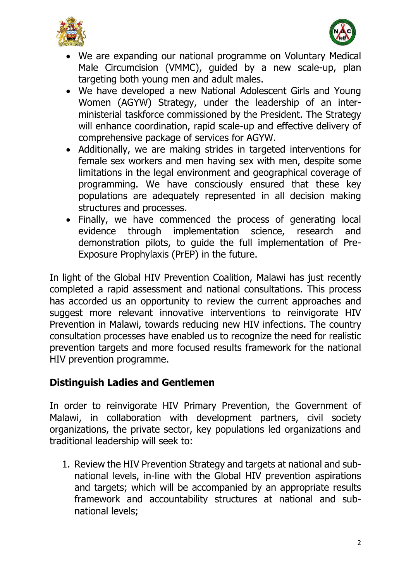



- We are expanding our national programme on Voluntary Medical Male Circumcision (VMMC), guided by a new scale-up, plan targeting both young men and adult males.
- We have developed a new National Adolescent Girls and Young Women (AGYW) Strategy, under the leadership of an interministerial taskforce commissioned by the President. The Strategy will enhance coordination, rapid scale-up and effective delivery of comprehensive package of services for AGYW.
- Additionally, we are making strides in targeted interventions for female sex workers and men having sex with men, despite some limitations in the legal environment and geographical coverage of programming. We have consciously ensured that these key populations are adequately represented in all decision making structures and processes.
- Finally, we have commenced the process of generating local evidence through implementation science, research and demonstration pilots, to guide the full implementation of Pre-Exposure Prophylaxis (PrEP) in the future.

In light of the Global HIV Prevention Coalition, Malawi has just recently completed a rapid assessment and national consultations. This process has accorded us an opportunity to review the current approaches and suggest more relevant innovative interventions to reinvigorate HIV Prevention in Malawi, towards reducing new HIV infections. The country consultation processes have enabled us to recognize the need for realistic prevention targets and more focused results framework for the national HIV prevention programme.

# **Distinguish Ladies and Gentlemen**

In order to reinvigorate HIV Primary Prevention, the Government of Malawi, in collaboration with development partners, civil society organizations, the private sector, key populations led organizations and traditional leadership will seek to:

1. Review the HIV Prevention Strategy and targets at national and subnational levels, in-line with the Global HIV prevention aspirations and targets; which will be accompanied by an appropriate results framework and accountability structures at national and subnational levels;